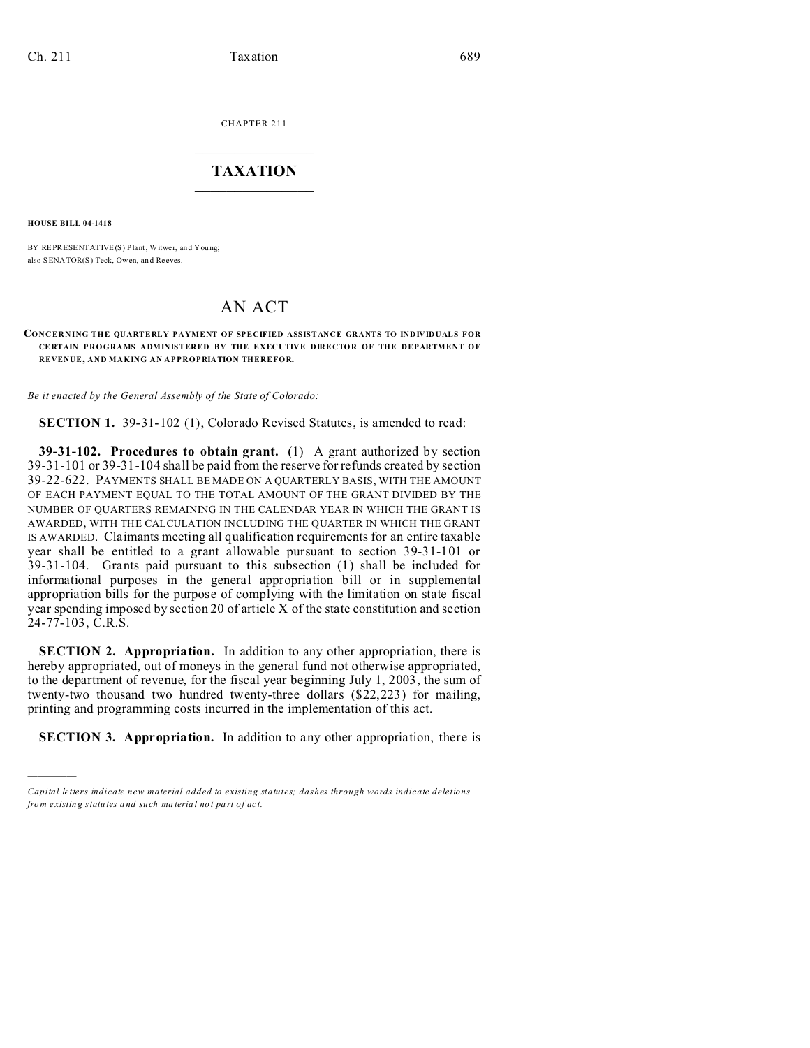CHAPTER 211  $\overline{\phantom{a}}$  , where  $\overline{\phantom{a}}$ 

## **TAXATION**  $\_$

**HOUSE BILL 04-1418**

)))))

BY REPRESENTATIVE(S) Plant, Witwer, and You ng; also SENATOR(S) Teck, Owen, an d Reeves.

## AN ACT

## **CONCERN ING THE QUARTERLY PAYMENT OF SPECIFIED ASSISTANCE GRANTS TO INDIVIDUALS FOR CE RTAIN P ROGRAMS ADMINISTERED BY THE EXECUTIVE DIRECTOR OF THE DEPARTMENT OF REVENUE, AND MAKING AN APPROPRIATION THEREFOR.**

*Be it enacted by the General Assembly of the State of Colorado:*

**SECTION 1.** 39-31-102 (1), Colorado Revised Statutes, is amended to read:

**39-31-102. Procedures to obtain grant.** (1) A grant authorized by section 39-31-101 or 39-31-104 shall be paid from the reserve for refunds created by section 39-22-622. PAYMENTS SHALL BE MADE ON A QUARTERLY BASIS, WITH THE AMOUNT OF EACH PAYMENT EQUAL TO THE TOTAL AMOUNT OF THE GRANT DIVIDED BY THE NUMBER OF QUARTERS REMAINING IN THE CALENDAR YEAR IN WHICH THE GRANT IS AWARDED, WITH THE CALCULATION INCLUDING THE QUARTER IN WHICH THE GRANT IS AWARDED. Claimants meeting all qualification requirements for an entire taxable year shall be entitled to a grant allowable pursuant to section 39-31-101 or 39-31-104. Grants paid pursuant to this subsection (1) shall be included for informational purposes in the general appropriation bill or in supplemental appropriation bills for the purpose of complying with the limitation on state fiscal year spending imposed by section 20 of article X of the state constitution and section 24-77-103, C.R.S.

**SECTION 2. Appropriation.** In addition to any other appropriation, there is hereby appropriated, out of moneys in the general fund not otherwise appropriated, to the department of revenue, for the fiscal year beginning July 1, 2003, the sum of twenty-two thousand two hundred twenty-three dollars (\$22,223) for mailing, printing and programming costs incurred in the implementation of this act.

**SECTION 3. Appropriation.** In addition to any other appropriation, there is

*Capital letters indicate new material added to existing statutes; dashes through words indicate deletions from e xistin g statu tes a nd such ma teria l no t pa rt of ac t.*